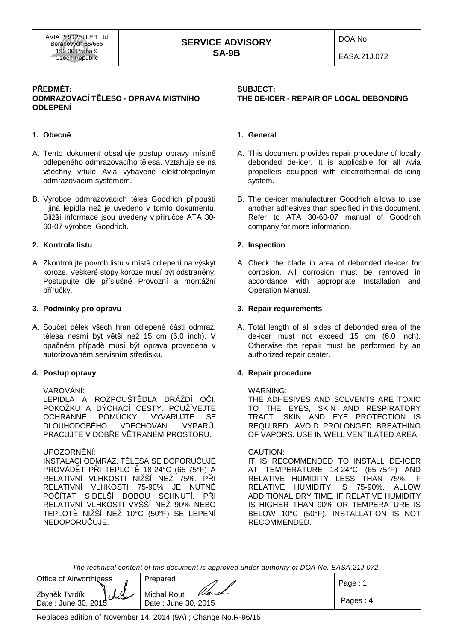EASA.21J.072

## **PŘEDMĚT: ODMRAZOVACÍ TĚLESO - OPRAVA MÍSTNÍHO ODLEPENÍ**

## **1. Obecně**

- A. Tento dokument obsahuje postup opravy místně odlepeného odmrazovacího tělesa. Vztahuje se na všechny vrtule Avia vybavené elektrotepelným odmrazovacím systémem.
- B. Výrobce odmrazovacích těles Goodrich připouští i jiná lepidla než je uvedeno v tomto dokumentu. Bližší informace jsou uvedeny v příručce ATA 30- 60-07 výrobce Goodrich.

## **2. Kontrola listu**

A. Zkontrolujte povrch listu v místě odlepení na výskyt koroze. Veškeré stopy koroze musí být odstraněny. Postupujte dle příslušné Provozní a montážní příručky.

#### **3. Podmínky pro opravu**

A. Součet délek všech hran odlepené části odmraz. tělesa nesmí být větší než 15 cm (6.0 inch). V opačném případě musí být oprava provedena v autorizovaném servisním středisku.

## **4. Postup opravy**

# VAROVÁNÍ:

 LEPIDLA A ROZPOUŠTĚDLA DRÁŽDÍ OČI, POKOŽKU A DÝCHACÍ CESTY. POUŽÍVEJTE OCHRANNÉ POMŮCKY. VYVARUJTE SE DLOUHODOBÉHO VDECHOVÁNÍ VÝPARŮ. PRACUJTE V DOBŘE VĚTRANÉM PROSTORU.

UPOZORNĚNÍ:

 INSTALACI ODMRAZ. TĚLESA SE DOPORUČUJE PROVÁDĚT PŘI TEPLOTĚ 18-24°C (65-75°F) A RELATIVNÍ VLHKOSTI NIŽŠÍ NEŽ 75%. PŘI RELATIVNÍ VLHKOSTI 75-90% JE NUTNÉ POČÍTAT S DELŠÍ DOBOU SCHNUTÍ. PŘI RELATIVNÍ VLHKOSTI VYŠŠÍ NEŽ 90% NEBO TEPLOTĚ NIŽŠÍ NEŽ 10°C (50°F) SE LEPENÍ NEDOPORUČUJE.

# **SUBJECT: THE DE-ICER - REPAIR OF LOCAL DEBONDING**

## **1. General**

- A. This document provides repair procedure of locally debonded de-icer. It is applicable for all Avia propellers equipped with electrothermal de-icing system.
- B. The de-icer manufacturer Goodrich allows to use another adhesives than specified in this document. Refer to ATA 30-60-07 manual of Goodrich company for more information.

#### **2. Inspection**

A. Check the blade in area of debonded de-icer for corrosion. All corrosion must be removed in accordance with appropriate Installation and Operation Manual.

#### **3. Repair requirements**

A. Total length of all sides of debonded area of the de-icer must not exceed 15 cm (6.0 inch). Otherwise the repair must be performed by an authorized repair center.

## **4. Repair procedure**

#### WARNING:

 THE ADHESIVES AND SOLVENTS ARE TOXIC TO THE EYES, SKIN AND RESPIRATORY TRACT. SKIN AND EYE PROTECTION IS REQUIRED. AVOID PROLONGED BREATHING OF VAPORS. USE IN WELL VENTILATED AREA.

#### CAUTION:

 IT IS RECOMMENDED TO INSTALL DE-ICER AT TEMPERATURE 18-24°C (65-75°F) AND RELATIVE HUMIDITY LESS THAN 75%. IF RELATIVE HUMIDITY IS 75-90%, ALLOW ADDITIONAL DRY TIME. IF RELATIVE HUMIDITY IS HIGHER THAN 90% OR TEMPERATURE IS BELOW 10°C (50°F), INSTALLATION IS NOT RECOMMENDED.

The technical content of this document is approved under authority of DOA No. EASA.21J.072.

| <b>Office of Airworthiness</b>                        | Prepared                                    | Page:    |
|-------------------------------------------------------|---------------------------------------------|----------|
| $\mathcal{L}$<br>Zbyněk Tvrdík<br>Date: June 30, 2015 | Vient<br>Michal Rout<br>Date: June 30, 2015 | Pages: 4 |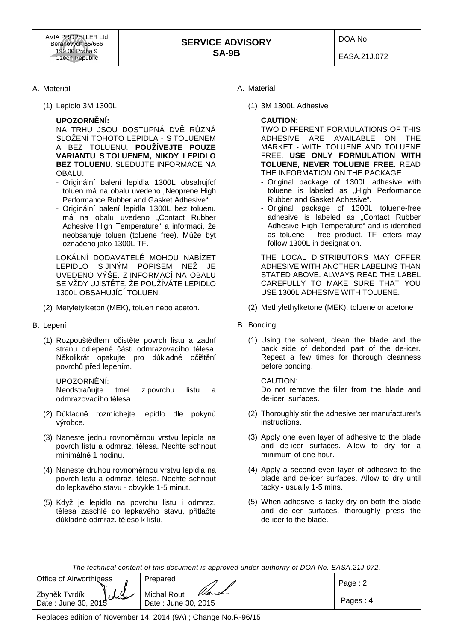## A. Materiál

(1) Lepidlo 3M 1300L

### **UPOZORNĚNÍ:**

 NA TRHU JSOU DOSTUPNÁ DVĚ RŮZNÁ SLOŽENÍ TOHOTO LEPIDLA - S TOLUENEM A BEZ TOLUENU. **POUŽÍVEJTE POUZE VARIANTU S TOLUENEM, NIKDY LEPIDLO BEZ TOLUENU.** SLEDUJTE INFORMACE NA OBALU.

- Originální balení lepidla 1300L obsahující toluen má na obalu uvedeno "Neoprene High Performance Rubber and Gasket Adhesive".
- Originální balení lepidla 1300L bez toluenu má na obalu uvedeno "Contact Rubber Adhesive High Temperature" a informaci, že neobsahuje toluen (toluene free). Může být označeno jako 1300L TF.

 LOKÁLNÍ DODAVATELÉ MOHOU NABÍZET LEPIDLO S JINÝM POPISEM NEŽ JE UVEDENO VÝŠE. Z INFORMACÍ NA OBALU SE VŽDY UJISTĚTE, ŽE POUŽÍVÁTE LEPIDLO 1300L OBSAHUJÍCÍ TOLUEN.

- (2) Metyletylketon (MEK), toluen nebo aceton.
- B. Lepení
	- (1) Rozpouštědlem očistěte povrch listu a zadní stranu odlepené části odmrazovacího tělesa. Několikrát opakujte pro důkladné očištění povrchů před lepením.

UPOZORNĚNÍ:

 Neodstraňujte tmel z povrchu listu a odmrazovacího tělesa.

- (2) Důkladně rozmíchejte lepidlo dle pokynů výrobce.
- (3) Naneste jednu rovnoměrnou vrstvu lepidla na povrch listu a odmraz. tělesa. Nechte schnout minimálně 1 hodinu.
- (4) Naneste druhou rovnoměrnou vrstvu lepidla na povrch listu a odmraz. tělesa. Nechte schnout do lepkavého stavu - obvykle 1-5 minut.
- (5) Když je lepidlo na povrchu listu i odmraz. tělesa zaschlé do lepkavého stavu, přitlačte důkladně odmraz. těleso k listu.
- A. Material
	- (1) 3M 1300L Adhesive

#### **CAUTION:**

 TWO DIFFERENT FORMULATIONS OF THIS ADHESIVE ARE AVAILABLE ON THE MARKET - WITH TOLUENE AND TOLUENE FREE. **USE ONLY FORMULATION WITH TOLUENE, NEVER TOLUENE FREE.** READ THE INFORMATION ON THE PACKAGE.

- Original package of 1300L adhesive with toluene is labeled as "High Performance Rubber and Gasket Adhesive".
- Original package of 1300L toluene-free adhesive is labeled as "Contact Rubber Adhesive High Temperature" and is identified as toluene free product. TF letters may follow 1300L in designation.

 THE LOCAL DISTRIBUTORS MAY OFFER ADHESIVE WITH ANOTHER LABELING THAN STATED ABOVE. ALWAYS READ THE LABEL CAREFULLY TO MAKE SURE THAT YOU USE 1300L ADHESIVE WITH TOLUENE.

- (2) Methylethylketone (MEK), toluene or acetone
- B. Bonding
	- (1) Using the solvent, clean the blade and the back side of debonded part of the de-icer. Repeat a few times for thorough cleanness before bonding.

#### CAUTION:

 Do not remove the filler from the blade and de-icer surfaces.

- (2) Thoroughly stir the adhesive per manufacturer's instructions.
- (3) Apply one even layer of adhesive to the blade and de-icer surfaces. Allow to dry for a minimum of one hour.
- (4) Apply a second even layer of adhesive to the blade and de-icer surfaces. Allow to dry until tacky - usually 1-5 mins.
- (5) When adhesive is tacky dry on both the blade and de-icer surfaces, thoroughly press the de-icer to the blade.

The technical content of this document is approved under authority of DOA No. EASA.21J.072.

| Office of Airworthiness                      | Prepared                                           | Page: 2  |
|----------------------------------------------|----------------------------------------------------|----------|
| سلىل<br>Zbyněk Tvrdík<br>Date: June 30, 2015 | <b>Michal Rout</b><br>Vient<br>Date: June 30, 2015 | Pages: 4 |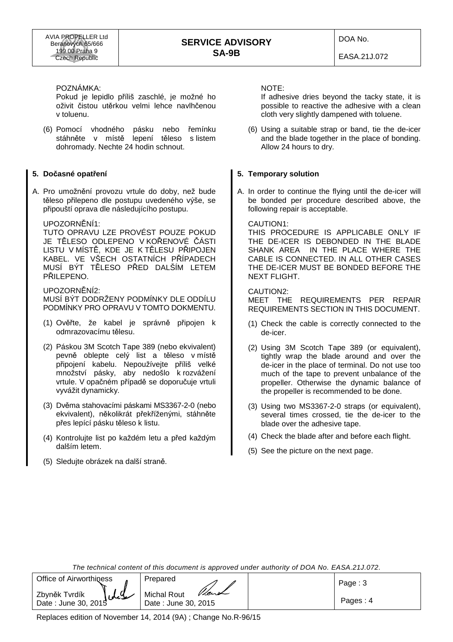DOA No.

EASA.21J.072

POZNÁMKA:

Pokud je lepidlo příliš zaschlé, je možné ho oživit čistou utěrkou velmi lehce navlhčenou v toluenu.

(6) Pomocí vhodného pásku nebo řemínku stáhněte v místě lepení těleso s listem dohromady. Nechte 24 hodin schnout.

# **5. Dočasné opatření**

A. Pro umožnění provozu vrtule do doby, než bude těleso přilepeno dle postupu uvedeného výše, se připouští oprava dle následujícího postupu.

# UPOZORNĚNÍ1:

 TUTO OPRAVU LZE PROVÉST POUZE POKUD JE TĚLESO ODLEPENO V KOŘENOVÉ ČÁSTI LISTU V MÍSTĚ, KDE JE K TĚLESU PŘIPOJEN KABEL. VE VŠECH OSTATNÍCH PŘÍPADECH MUSÍ BÝT TĚLESO PŘED DALŠÍM LETEM PŘILEPENO.

 UPOZORNĚNÍ2: MUSÍ BÝT DODRŽENY PODMÍNKY DLE ODDÍLU PODMÍNKY PRO OPRAVU V TOMTO DOKMENTU.

- (1) Ověřte, že kabel je správně připojen k odmrazovacímu tělesu.
- (2) Páskou 3M Scotch Tape 389 (nebo ekvivalent) pevně oblepte celý list a těleso v místě připojení kabelu. Nepoužívejte příliš velké množství pásky, aby nedošlo k rozvážení vrtule. V opačném případě se doporučuje vrtuli vyvážit dynamicky.
- (3) Dvěma stahovacími páskami MS3367-2-0 (nebo ekvivalent), několikrát překříženými, stáhněte přes lepící pásku těleso k listu.
- (4) Kontrolujte list po každém letu a před každým dalším letem.
- (5) Sledujte obrázek na další straně.

NOTE:

If adhesive dries beyond the tacky state, it is possible to reactive the adhesive with a clean cloth very slightly dampened with toluene.

(6) Using a suitable strap or band, tie the de-icer and the blade together in the place of bonding. Allow 24 hours to dry.

# **5. Temporary solution**

A. In order to continue the flying until the de-icer will be bonded per procedure described above, the following repair is acceptable.

#### CAUTION1:

 THIS PROCEDURE IS APPLICABLE ONLY IF THE DE-ICER IS DEBONDED IN THE BLADE SHANK AREA IN THE PLACE WHERE THE CABLE IS CONNECTED. IN ALL OTHER CASES THE DE-ICER MUST BE BONDED BEFORE THE NEXT FLIGHT.

#### CAUTION2:

 MEET THE REQUIREMENTS PER REPAIR REQUIREMENTS SECTION IN THIS DOCUMENT.

- (1) Check the cable is correctly connected to the de-icer.
- (2) Using 3M Scotch Tape 389 (or equivalent), tightly wrap the blade around and over the de-icer in the place of terminal. Do not use too much of the tape to prevent unbalance of the propeller. Otherwise the dynamic balance of the propeller is recommended to be done.
- (3) Using two MS3367-2-0 straps (or equivalent), several times crossed, tie the de-icer to the blade over the adhesive tape.
- (4) Check the blade after and before each flight.
- (5) See the picture on the next page.

The technical content of this document is approved under authority of DOA No. EASA.21J.072.

| <b>Office of Airworthiness</b>                | Prepared                                           | Paqe:3   |
|-----------------------------------------------|----------------------------------------------------|----------|
| سلايل<br>Zbyněk Tvrdík<br>Date: June 30, 2015 | <b>Michal Rout</b><br>Vient<br>Date: June 30, 2015 | Pages: 4 |